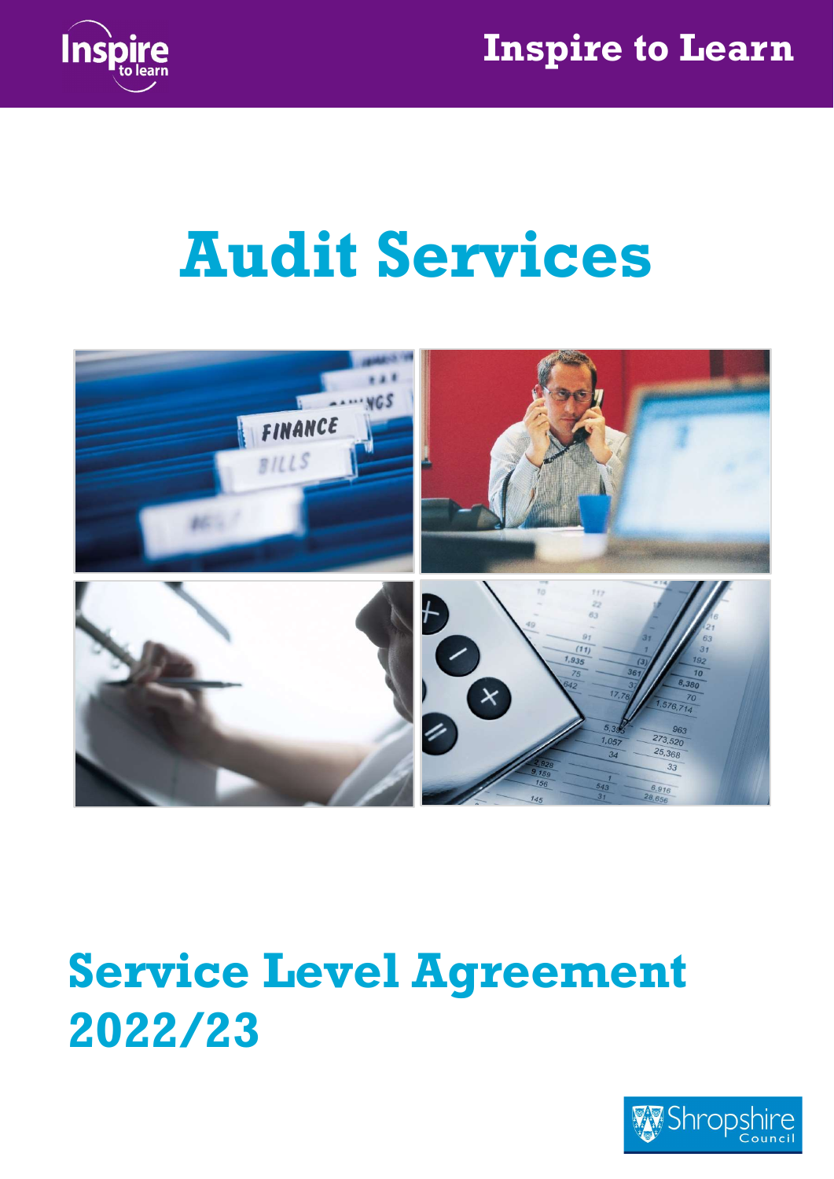

# Audit Services



## Service Level Agreement 2022/23

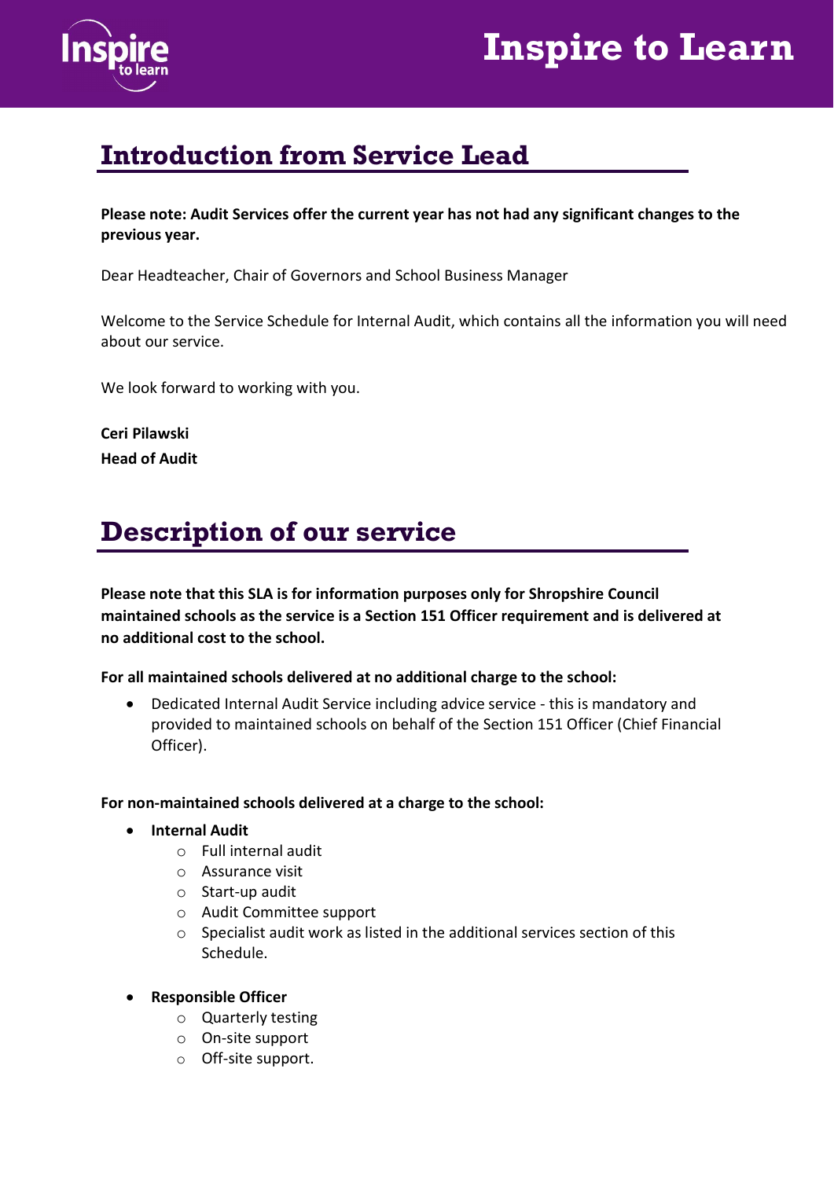



#### Introduction from Service Lead

Please note: Audit Services offer the current year has not had any significant changes to the previous year.

Dear Headteacher, Chair of Governors and School Business Manager

Welcome to the Service Schedule for Internal Audit, which contains all the information you will need about our service.

We look forward to working with you.

Ceri Pilawski Head of Audit

#### Description of our service

Please note that this SLA is for information purposes only for Shropshire Council maintained schools as the service is a Section 151 Officer requirement and is delivered at no additional cost to the school.

For all maintained schools delivered at no additional charge to the school:

 Dedicated Internal Audit Service including advice service - this is mandatory and provided to maintained schools on behalf of the Section 151 Officer (Chief Financial Officer).

#### For non-maintained schools delivered at a charge to the school:

- **•** Internal Audit
	- o Full internal audit
	- o Assurance visit
	- o Start-up audit
	- o Audit Committee support
	- o Specialist audit work as listed in the additional services section of this Schedule.
- Responsible Officer
	- o Quarterly testing
	- o On-site support
	- o Off-site support.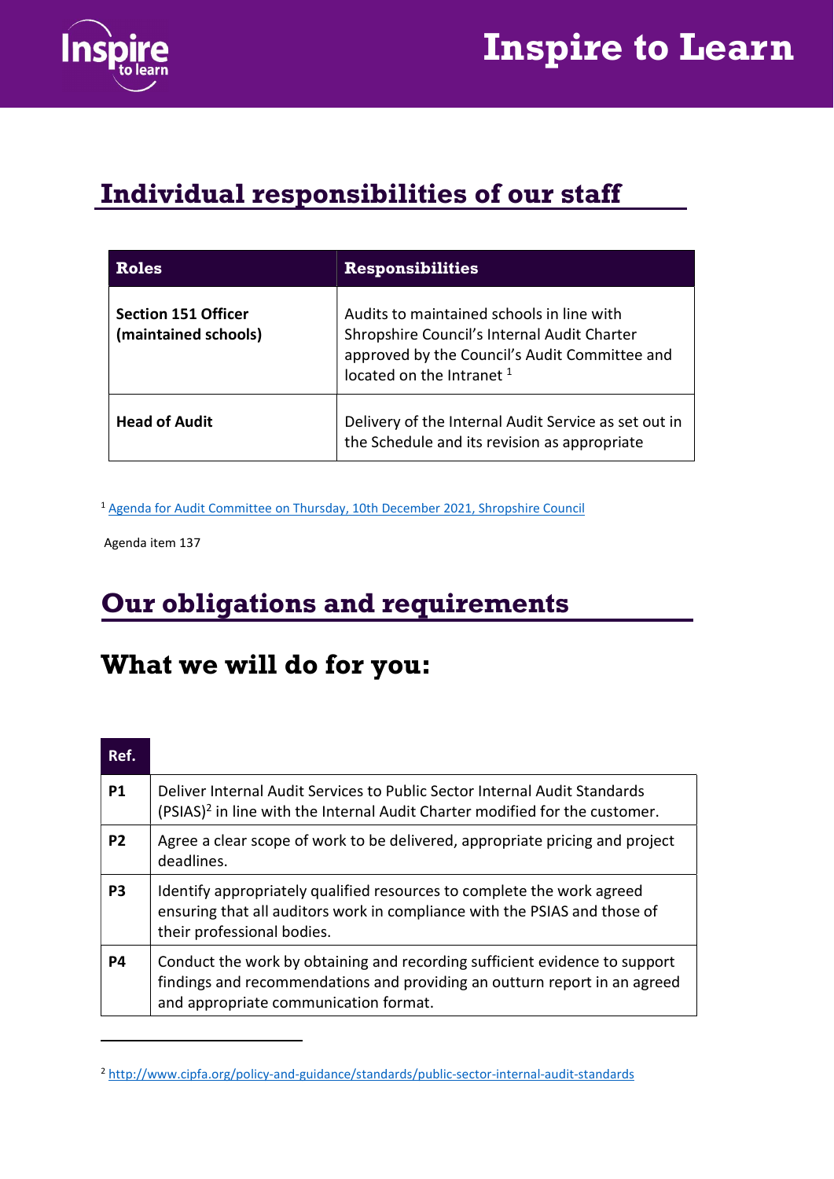

## Inspire to Learn

#### Individual responsibilities of our staff

| <b>Roles</b>                                       | <b>Responsibilities</b>                                                                                                                                                           |
|----------------------------------------------------|-----------------------------------------------------------------------------------------------------------------------------------------------------------------------------------|
| <b>Section 151 Officer</b><br>(maintained schools) | Audits to maintained schools in line with<br>Shropshire Council's Internal Audit Charter<br>approved by the Council's Audit Committee and<br>located on the Intranet <sup>1</sup> |
| <b>Head of Audit</b>                               | Delivery of the Internal Audit Service as set out in<br>the Schedule and its revision as appropriate                                                                              |

<sup>1</sup> Agenda for Audit Committee on Thursday, 10th December 2021, Shropshire Council

Agenda item 137

#### Our obligations and requirements

#### What we will do for you:

| Ref.           |                                                                                                                                                                                                  |
|----------------|--------------------------------------------------------------------------------------------------------------------------------------------------------------------------------------------------|
| P <sub>1</sub> | Deliver Internal Audit Services to Public Sector Internal Audit Standards<br>(PSIAS) <sup>2</sup> in line with the Internal Audit Charter modified for the customer.                             |
| P <sub>2</sub> | Agree a clear scope of work to be delivered, appropriate pricing and project<br>deadlines.                                                                                                       |
| P3             | Identify appropriately qualified resources to complete the work agreed<br>ensuring that all auditors work in compliance with the PSIAS and those of<br>their professional bodies.                |
| P4             | Conduct the work by obtaining and recording sufficient evidence to support<br>findings and recommendations and providing an outturn report in an agreed<br>and appropriate communication format. |

<sup>2</sup> http://www.cipfa.org/policy-and-guidance/standards/public-sector-internal-audit-standards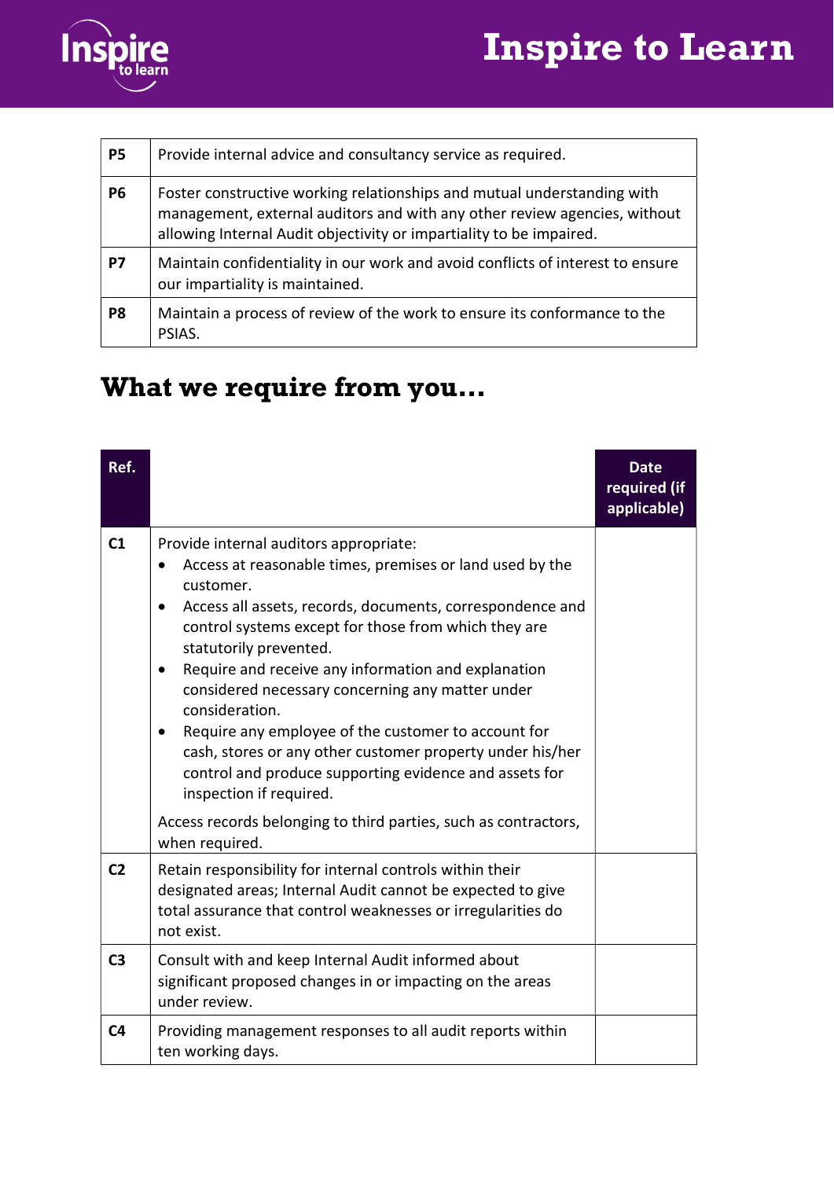



| <b>P5</b>      | Provide internal advice and consultancy service as required.                                                                                                                                                                |
|----------------|-----------------------------------------------------------------------------------------------------------------------------------------------------------------------------------------------------------------------------|
| <b>P6</b>      | Foster constructive working relationships and mutual understanding with<br>management, external auditors and with any other review agencies, without<br>allowing Internal Audit objectivity or impartiality to be impaired. |
| P7             | Maintain confidentiality in our work and avoid conflicts of interest to ensure<br>our impartiality is maintained.                                                                                                           |
| P <sub>8</sub> | Maintain a process of review of the work to ensure its conformance to the<br>PSIAS.                                                                                                                                         |

### What we require from you…

| Ref.           |                                                                                                                                                                                                                                                                                                                                                                                                                                                                                                                                                                                                                                                                                                        | <b>Date</b><br>required (if<br>applicable) |
|----------------|--------------------------------------------------------------------------------------------------------------------------------------------------------------------------------------------------------------------------------------------------------------------------------------------------------------------------------------------------------------------------------------------------------------------------------------------------------------------------------------------------------------------------------------------------------------------------------------------------------------------------------------------------------------------------------------------------------|--------------------------------------------|
| C1             | Provide internal auditors appropriate:<br>Access at reasonable times, premises or land used by the<br>customer.<br>Access all assets, records, documents, correspondence and<br>$\bullet$<br>control systems except for those from which they are<br>statutorily prevented.<br>Require and receive any information and explanation<br>$\bullet$<br>considered necessary concerning any matter under<br>consideration.<br>Require any employee of the customer to account for<br>٠<br>cash, stores or any other customer property under his/her<br>control and produce supporting evidence and assets for<br>inspection if required.<br>Access records belonging to third parties, such as contractors, |                                            |
| C <sub>2</sub> | when required.<br>Retain responsibility for internal controls within their<br>designated areas; Internal Audit cannot be expected to give<br>total assurance that control weaknesses or irregularities do<br>not exist.                                                                                                                                                                                                                                                                                                                                                                                                                                                                                |                                            |
| C <sub>3</sub> | Consult with and keep Internal Audit informed about<br>significant proposed changes in or impacting on the areas<br>under review.                                                                                                                                                                                                                                                                                                                                                                                                                                                                                                                                                                      |                                            |
| C <sub>4</sub> | Providing management responses to all audit reports within<br>ten working days.                                                                                                                                                                                                                                                                                                                                                                                                                                                                                                                                                                                                                        |                                            |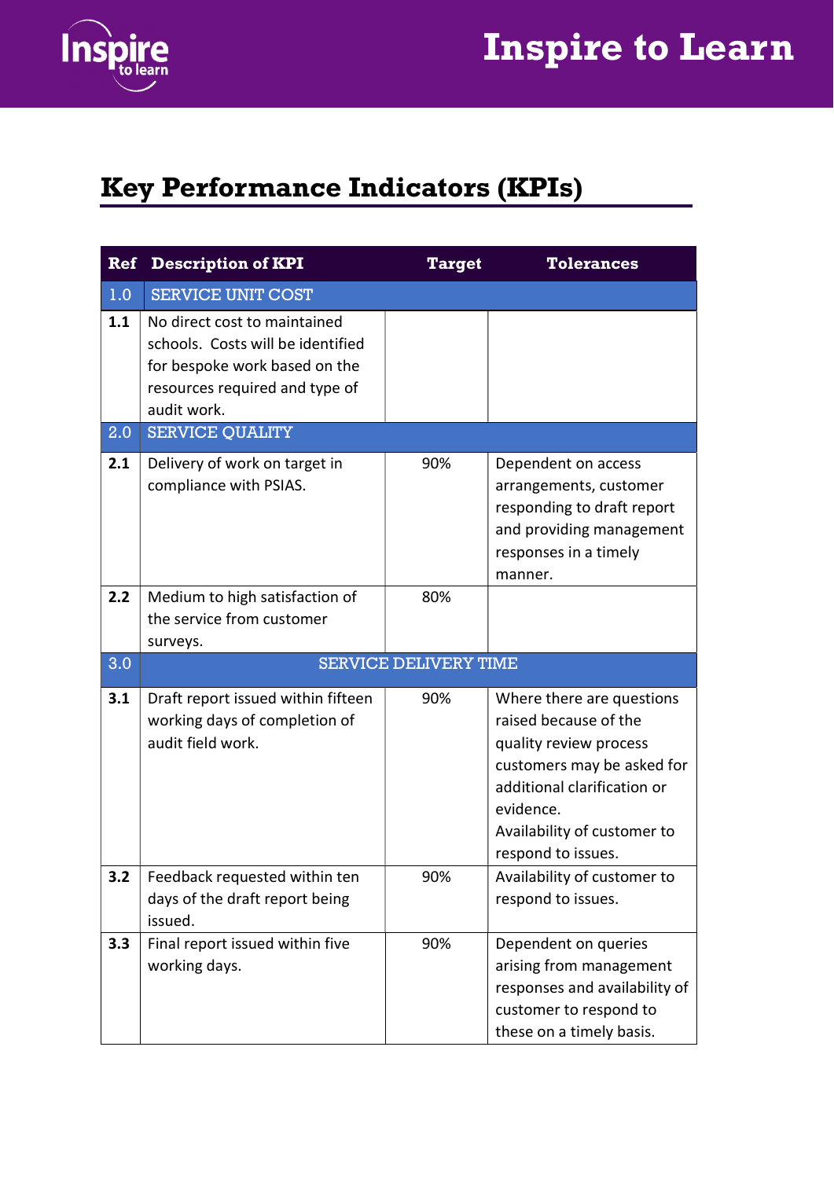

## Inspire to Learn

### Key Performance Indicators (KPIs)

| Ref | <b>Description of KPI</b>                                                                                                                           | <b>Target</b>                | <b>Tolerances</b>                                                                                                                                                                                           |
|-----|-----------------------------------------------------------------------------------------------------------------------------------------------------|------------------------------|-------------------------------------------------------------------------------------------------------------------------------------------------------------------------------------------------------------|
| 1.0 | <b>SERVICE UNIT COST</b>                                                                                                                            |                              |                                                                                                                                                                                                             |
| 1.1 | No direct cost to maintained<br>schools. Costs will be identified<br>for bespoke work based on the<br>resources required and type of<br>audit work. |                              |                                                                                                                                                                                                             |
| 2.0 | <b>SERVICE QUALITY</b>                                                                                                                              |                              |                                                                                                                                                                                                             |
| 2.1 | Delivery of work on target in<br>compliance with PSIAS.                                                                                             | 90%                          | Dependent on access<br>arrangements, customer<br>responding to draft report<br>and providing management<br>responses in a timely<br>manner.                                                                 |
| 2.2 | Medium to high satisfaction of<br>the service from customer<br>surveys.                                                                             | 80%                          |                                                                                                                                                                                                             |
| 3.0 |                                                                                                                                                     | <b>SERVICE DELIVERY TIME</b> |                                                                                                                                                                                                             |
| 3.1 | Draft report issued within fifteen<br>working days of completion of<br>audit field work.                                                            | 90%                          | Where there are questions<br>raised because of the<br>quality review process<br>customers may be asked for<br>additional clarification or<br>evidence.<br>Availability of customer to<br>respond to issues. |
| 3.2 | Feedback requested within ten<br>days of the draft report being<br>issued.                                                                          | 90%                          | Availability of customer to<br>respond to issues.                                                                                                                                                           |
| 3.3 | Final report issued within five<br>working days.                                                                                                    | 90%                          | Dependent on queries<br>arising from management<br>responses and availability of<br>customer to respond to<br>these on a timely basis.                                                                      |